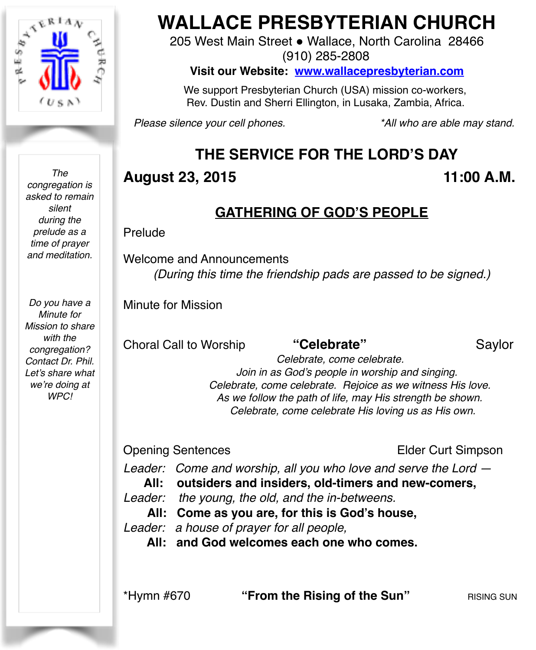

*The congregation is asked to remain silent during the prelude as a time of prayer and meditation.*

*Do you have a Minute for Mission to share with the congregation? Contact Dr. Phil. Let's share what we're doing at WPC!*

# **WALLACE PRESBYTERIAN CHURCH**

205 West Main Street . Wallace, North Carolina 28466 (910) 285-2808

**Visit our Website: [www.wallacepresbyterian.com](http://www.wallacepresbyterian.com)**

 We support Presbyterian Church (USA) mission co-workers, Rev. Dustin and Sherri Ellington, in Lusaka, Zambia, Africa.

*Please silence your cell phones. \*All who are able may stand.*

# **THE SERVICE FOR THE LORD'S DAY**

# **August 23, 2015 11:00 A.M.**

# **GATHERING OF GOD'S PEOPLE**

### Prelude

Welcome and Announcements *(During this time the friendship pads are passed to be signed.)*

Minute for Mission

Choral Call to Worship **"Celebrate"** Saylor

 *Celebrate, come celebrate. Join in as God's people in worship and singing. Celebrate, come celebrate. Rejoice as we witness His love. As we follow the path of life, may His strength be shown. Celebrate, come celebrate His loving us as His own.*

## Opening Sentences **Elder Curt Simpson**

*Leader: Come and worship, all you who love and serve the Lord —*

- **All: outsiders and insiders, old-timers and new-comers,**
- *Leader: the young, the old, and the in-betweens.* 
	- **All: Come as you are, for this is God's house,**
- *Leader: a house of prayer for all people,*

 **All: and God welcomes each one who comes.**

\*Hymn #670 **"From the Rising of the Sun"** RISING SUN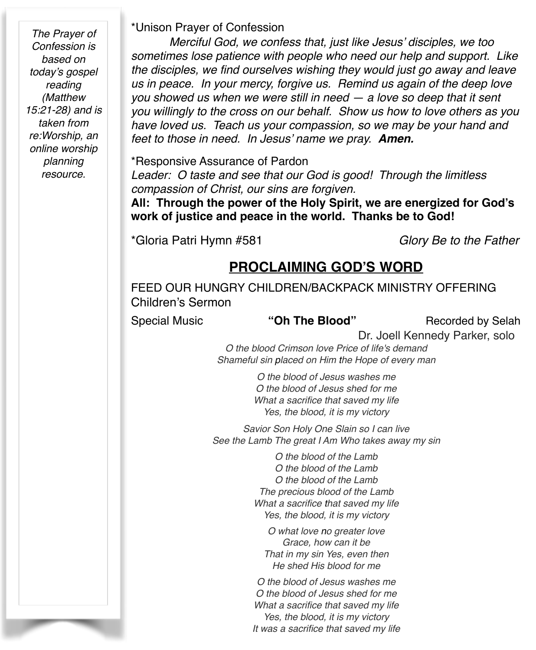*The Prayer of Confession is based on today's gospel reading (Matthew 15:21-28) and is taken from re:Worship, an online worship planning resource.*

\*Unison Prayer of Confession

*Merciful God, we confess that, just like Jesus' disciples, we too sometimes lose patience with people who need our help and support. Like the disciples, we find ourselves wishing they would just go away and leave us in peace. In your mercy, forgive us. Remind us again of the deep love you showed us when we were still in need — a love so deep that it sent you willingly to the cross on our behalf. Show us how to love others as you have loved us. Teach us your compassion, so we may be your hand and feet to those in need. In Jesus' name we pray. Amen.*

#### \*Responsive Assurance of Pardon

*Leader: O taste and see that our God is good! Through the limitless compassion of Christ, our sins are forgiven.*

**All: Through the power of the Holy Spirit, we are energized for God's work of justice and peace in the world. Thanks be to God!**

\*Gloria Patri Hymn #581 *Glory Be to the Father*

## **PROCLAIMING GOD'S WORD**

FEED OUR HUNGRY CHILDREN/BACKPACK MINISTRY OFFERING Children's Sermon

#### Special Music **"Oh The Blood"** Recorded by Selah

Dr. Joell Kennedy Parker, solo

*O the blood Crimson love Price of life's demand Shameful sin placed on Him the Hope of every man*

> *O the blood of Jesus washes me O the blood of Jesus shed for me What a sacrifice that saved my life Yes, the blood, it is my victory*

*Savior Son Holy One Slain so I can live See the Lamb The great I Am Who takes away my sin*

> *O the blood of the Lamb O the blood of the Lamb O the blood of the Lamb The precious blood of the Lamb What a sacrifice that saved my life Yes, the blood, it is my victory*

*O what love no greater love Grace, how can it be That in my sin Yes, even then He shed His blood for me*

*O the blood of Jesus washes me O the blood of Jesus shed for me What a sacrifice that saved my life Yes, the blood, it is my victory It was a sacrifice that saved my life*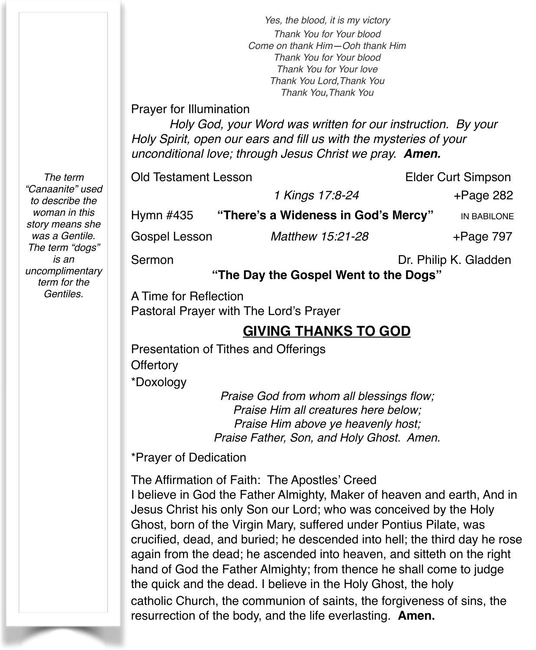*Yes, the blood, it is my victory Thank You for Your blood Come on thank Him—Ooh thank Him Thank You for Your blood Thank You for Your love Thank You Lord,Thank You Thank You,Thank You*

Prayer for Illumination

*Holy God, your Word was written for our instruction. By your Holy Spirit, open our ears and fill us with the mysteries of your unconditional love; through Jesus Christ we pray. Amen.*

| <b>Old Testament Lesson</b> |                                     | Elder Curt Simpson    |  |
|-----------------------------|-------------------------------------|-----------------------|--|
|                             | 1 Kings 17:8-24                     | $+$ Page 282          |  |
| Hymn #435                   | "There's a Wideness in God's Mercy" | IN BABILONE           |  |
| Gospel Lesson               | Matthew 15:21-28                    | $+$ Page 797          |  |
| Sermon                      |                                     | Dr. Philip K. Gladden |  |

**"The Day the Gospel Went to the Dogs"**

A Time for Reflection Pastoral Prayer with The Lord's Prayer

## **GIVING THANKS TO GOD**

Presentation of Tithes and Offerings **Offertory** 

\*Doxology

*Praise God from whom all blessings flow; Praise Him all creatures here below; Praise Him above ye heavenly host; Praise Father, Son, and Holy Ghost. Amen.*

\*Prayer of Dedication

The Affirmation of Faith: The Apostles' Creed I believe in God the Father Almighty, Maker of heaven and earth, And in Jesus Christ his only Son our Lord; who was conceived by the Holy Ghost, born of the Virgin Mary, suffered under Pontius Pilate, was crucified, dead, and buried; he descended into hell; the third day he rose again from the dead; he ascended into heaven, and sitteth on the right hand of God the Father Almighty; from thence he shall come to judge the quick and the dead. I believe in the Holy Ghost, the holy catholic Church, the communion of saints, the forgiveness of sins, the resurrection of the body, and the life everlasting. **Amen.**

*The term "Canaanite" used to describe the woman in this story means she was a Gentile. The term "dogs" is an uncomplimentary term for the Gentiles.*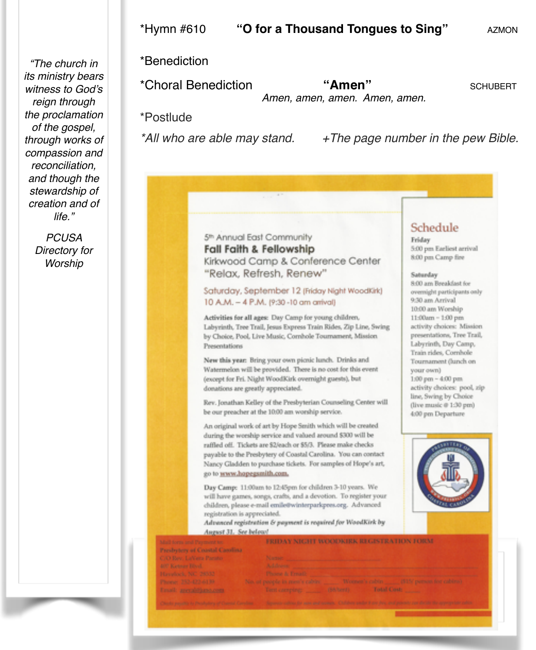\*Hymn #610 **"O for a Thousand Tongues to Sing"** AZMON

*"The church in its ministry bears witness to God's reign through the proclamation of the gospel, through works of compassion and reconciliation, and though the stewardship of creation and of life."*

> *PCUSA Directory for Worship*

#### \*Benediction

\*Choral Benediction **"Amen"** SCHUBERT

*Amen, amen, amen. Amen, amen.*

\*Postlude

*\*All who are able may stand. +The page number in the pew Bible.*

#### 5th Annual East Community **Fall Faith & Fellowship** Kirkwood Camp & Conference Center "Relax, Refresh, Renew"

Saturday, September 12 (Friday Night WoodKirk) 10 A.M. - 4 P.M. (9:30 -10 am arrival)

Activities for all ages: Day Camp for young children, Labyrinth, Tree Trail, Jesus Express Train Rides, Zip Line, Swing by Choice, Pool, Live Music, Comhole Tournament, Mission. Presentations

New this year: Bring your own picnic lunch. Drinks and Watermelon will be provided. There is no cost for this event (except for Fri. Night WoodKirk overnight guests), but donations are greatly appreciated.

Rev. Jonathan Kelley of the Presbyterian Counseling Center will be our preacher at the 10.00 am worship service.

An original work of art by Hope Smith which will be created during the worship service and valued around \$300 will be raffled off. Tickets are \$2/each or \$5/3. Please make checks payable to the Presbytery of Coastal Carolina. You can contact Nancy Gladden to purchase tickets. For samples of Hope's art, go to www.hopegsmith.com.

Day Campe 11:00am to 12:45pm for children 3-10 years. We will have games, songs, crafts, and a devotion. To register your children, please e-mail emile@winterparkpres.org. Advanced registration is appreciated.

Advanced registration & payment is required for WoodKirk by August 31, See below!

### Schedule

Friday 5:00 pm Earliest arrival 8:00 pm Camp fire

#### Saturday

8:00 am Breakfast for overnight participants only 9:30 am Arrival 10:00 am Worship 11:00am - 1:00 pm activity choices: Mission. presentations, Tree Trail, Labyrinth, Day Camp, Train rides, Comhole Tournament (lunch on your own) 1:00 pm - 4:00 pm activity choices: pool, zip line, Swing by Choice (live music @ 1:30 pm) 4:00 pm Departure



| of Payment to:      | FRIDAY NIGHT WOODKIRK REGISTRATION HORM                                                                                         |
|---------------------|---------------------------------------------------------------------------------------------------------------------------------|
| ad Countal Camilina |                                                                                                                                 |
| Wera Parato:        | Nager <sub>i U</sub>                                                                                                            |
| <b>Filmed Co.</b>   | Address 1                                                                                                                       |
| NAT 28032           | <b>Physical &amp; ErrorD.</b>                                                                                                   |
| 1226139             | . Not of project to messive cabine and  . We must be editing a difficult person for cabinety                                    |
| подавились сели     | Terri complete: 1980-1980-1990. Total Cost: 1992.                                                                               |
|                     |                                                                                                                                 |
|                     | A produce a research contacts in the except management of the product of the state of the contact of the contact of the product |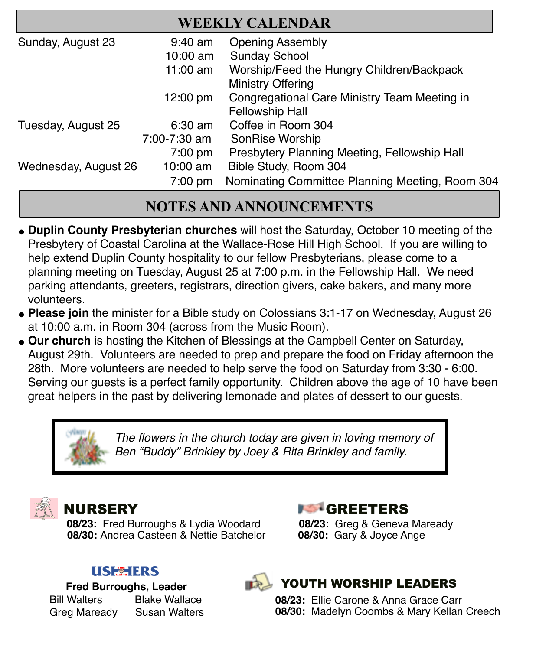| <b>WEEKLY CALENDAR</b> |                   |                                                                        |  |  |
|------------------------|-------------------|------------------------------------------------------------------------|--|--|
| Sunday, August 23      | $9:40$ am         | <b>Opening Assembly</b>                                                |  |  |
|                        | 10:00 am          | <b>Sunday School</b>                                                   |  |  |
|                        | $11:00$ am        | Worship/Feed the Hungry Children/Backpack<br>Ministry Offering         |  |  |
|                        | 12:00 pm          | Congregational Care Ministry Team Meeting in<br><b>Fellowship Hall</b> |  |  |
| Tuesday, August 25     | $6:30 \text{ am}$ | Coffee in Room 304                                                     |  |  |
|                        | 7:00-7:30 am      | SonRise Worship                                                        |  |  |
|                        | $7:00$ pm         | Presbytery Planning Meeting, Fellowship Hall                           |  |  |
| Wednesday, August 26   | 10:00 am          | Bible Study, Room 304                                                  |  |  |
|                        | $7:00$ pm         | Nominating Committee Planning Meeting, Room 304                        |  |  |

# **NOTES AND ANNOUNCEMENTS**

- **" Duplin County Presbyterian churches** will host the Saturday, October 10 meeting of the Presbytery of Coastal Carolina at the Wallace-Rose Hill High School. If you are willing to help extend Duplin County hospitality to our fellow Presbyterians, please come to a planning meeting on Tuesday, August 25 at 7:00 p.m. in the Fellowship Hall. We need parking attendants, greeters, registrars, direction givers, cake bakers, and many more volunteers.
- **Please join** the minister for a Bible study on Colossians 3:1-17 on Wednesday, August 26 at 10:00 a.m. in Room 304 (across from the Music Room).
- " **Our church** is hosting the Kitchen of Blessings at the Campbell Center on Saturday, August 29th. Volunteers are needed to prep and prepare the food on Friday afternoon the 28th. More volunteers are needed to help serve the food on Saturday from 3:30 - 6:00. Serving our guests is a perfect family opportunity. Children above the age of 10 have been great helpers in the past by delivering lemonade and plates of dessert to our guests.



*The flowers in the church today are given in loving memory of Ben "Buddy" Brinkley by Joey & Rita Brinkley and family.*

 **08/23:** Fred Burroughs & Lydia Woodard **08/23:** Greg & Geneva Maready  **08/30:** Andrea Casteen & Nettie Batchelor **08/30:** Gary & Joyce Ange

## **USE ERS**

 **Fred Burroughs, Leader** Bill Walters Blake Wallace Greg Maready Susan Walters



# **NURSERY** GREETERS

# YOUTH WORSHIP LEADERS

**08/23:** Ellie Carone & Anna Grace Carr **08/30:** Madelyn Coombs & Mary Kellan Creech